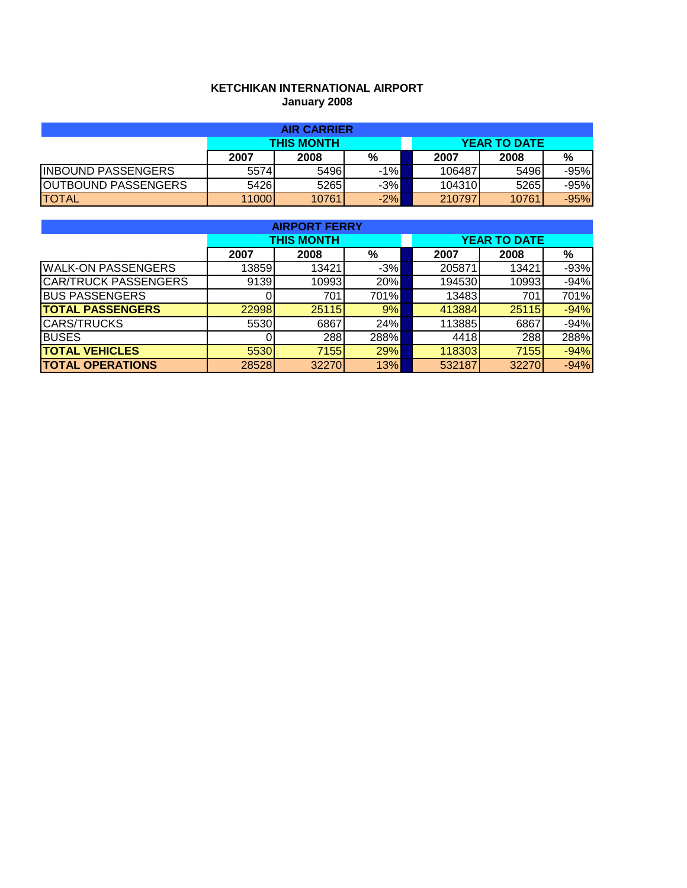## **KETCHIKAN INTERNATIONAL AIRPORT January 2008**

| <b>AIR CARRIER</b>         |       |       |       |  |        |                     |        |  |  |
|----------------------------|-------|-------|-------|--|--------|---------------------|--------|--|--|
| <b>THIS MONTH</b>          |       |       |       |  |        | <b>YEAR TO DATE</b> |        |  |  |
|                            | 2007  | 2008  | %     |  | 2007   | 2008                | %      |  |  |
| <b>INBOUND PASSENGERS</b>  | 5574  | 5496  | $-1%$ |  | 106487 | 5496                | $-95%$ |  |  |
| <b>OUTBOUND PASSENGERS</b> | 5426  | 5265  | $-3%$ |  | 104310 | 5265                | $-95%$ |  |  |
| <b>TOTAL</b>               | 11000 | 10761 | $-2%$ |  | 210797 | 10761               | $-95%$ |  |  |

| <b>AIRPORT FERRY</b>        |       |                   |       |      |                     |       |        |  |  |  |
|-----------------------------|-------|-------------------|-------|------|---------------------|-------|--------|--|--|--|
|                             |       | <b>THIS MONTH</b> |       |      | <b>YEAR TO DATE</b> |       |        |  |  |  |
|                             | 2007  | 2008              | %     | 2007 |                     | 2008  | %      |  |  |  |
| <b>WALK-ON PASSENGERS</b>   | 13859 | 13421             | $-3%$ |      | 205871              | 13421 | $-93%$ |  |  |  |
| <b>CAR/TRUCK PASSENGERS</b> | 9139  | 10993             | 20%   |      | 194530              | 10993 | $-94%$ |  |  |  |
| <b>BUS PASSENGERS</b>       |       | 701               | 701%  |      | 13483               | 701   | 701%   |  |  |  |
| <b>TOTAL PASSENGERS</b>     | 22998 | 25115             | 9%    |      | 413884              | 25115 | $-94%$ |  |  |  |
| <b>CARS/TRUCKS</b>          | 5530  | 6867              | 24%   |      | 113885              | 6867  | $-94%$ |  |  |  |
| <b>BUSES</b>                |       | 288               | 288%  |      | 4418                | 288   | 288%   |  |  |  |
| <b>TOTAL VEHICLES</b>       | 5530  | 7155              | 29%   |      | 118303              | 7155  | $-94%$ |  |  |  |
| <b>TOTAL OPERATIONS</b>     | 28528 | 32270             | 13%   |      | 532187              | 32270 | $-94%$ |  |  |  |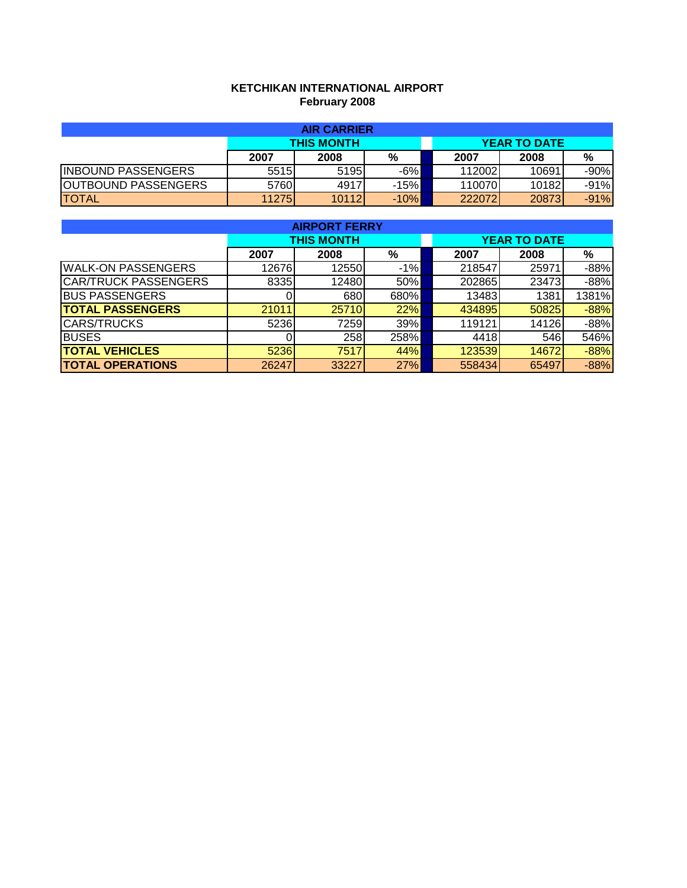## **KETCHIKAN INTERNATIONAL AIRPORT February 2008**

| <b>AIR CARRIER</b>         |       |       |        |  |        |                     |        |  |  |  |
|----------------------------|-------|-------|--------|--|--------|---------------------|--------|--|--|--|
| <b>THIS MONTH</b>          |       |       |        |  |        | <b>YEAR TO DATE</b> |        |  |  |  |
|                            | 2007  | 2008  | %      |  | 2007   | 2008                | %      |  |  |  |
| <b>INBOUND PASSENGERS</b>  | 5515  | 5195  | $-6%$  |  | 112002 | 10691               | $-90%$ |  |  |  |
| <b>OUTBOUND PASSENGERS</b> | 5760  | 4917  | $-15%$ |  | 110070 | 10182               | $-91%$ |  |  |  |
| <b>TOTAL</b>               | 11275 | 10112 | $-10%$ |  | 222072 | 20873               | $-91%$ |  |  |  |

| <b>AIRPORT FERRY</b>        |       |                   |       |  |                     |       |        |  |  |  |
|-----------------------------|-------|-------------------|-------|--|---------------------|-------|--------|--|--|--|
|                             |       | <b>THIS MONTH</b> |       |  | <b>YEAR TO DATE</b> |       |        |  |  |  |
|                             | 2007  | 2008              | %     |  | 2007                | 2008  | %      |  |  |  |
| <b>WALK-ON PASSENGERS</b>   | 12676 | 12550             | $-1%$ |  | 218547              | 25971 | $-88%$ |  |  |  |
| <b>CAR/TRUCK PASSENGERS</b> | 8335  | 12480             | 50%   |  | 202865              | 23473 | $-88%$ |  |  |  |
| <b>BUS PASSENGERS</b>       |       | 680               | 680%  |  | 13483               | 1381  | 1381%  |  |  |  |
| <b>ITOTAL PASSENGERS</b>    | 21011 | 25710             | 22%   |  | 434895              | 50825 | $-88%$ |  |  |  |
| <b>CARS/TRUCKS</b>          | 5236  | 7259              | 39%   |  | 119121              | 14126 | $-88%$ |  |  |  |
| <b>BUSES</b>                |       | 258               | 258%  |  | 4418                | 546   | 546%   |  |  |  |
| <b>TOTAL VEHICLES</b>       | 5236  | 7517              | 44%   |  | 123539              | 14672 | $-88%$ |  |  |  |
| <b>TOTAL OPERATIONS</b>     | 26247 | 33227             | 27%   |  | 558434              | 65497 | $-88%$ |  |  |  |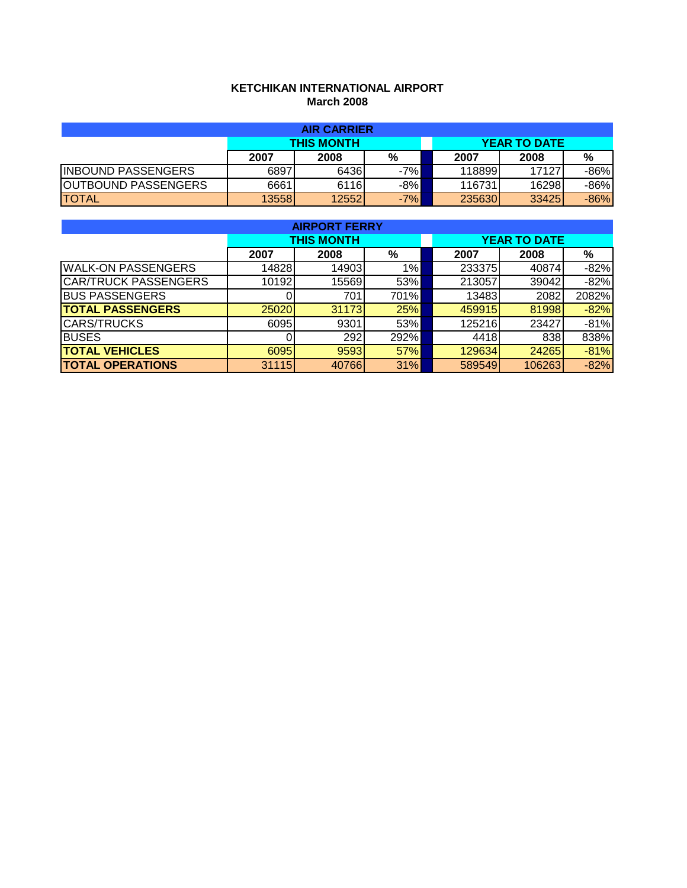## **KETCHIKAN INTERNATIONAL AIRPORT March 2008**

| <b>AIR CARRIER</b>         |        |       |       |  |        |                     |        |  |  |
|----------------------------|--------|-------|-------|--|--------|---------------------|--------|--|--|
| <b>THIS MONTH</b>          |        |       |       |  |        | <b>YEAR TO DATE</b> |        |  |  |
|                            | 2007   | 2008  | %     |  | 2007   | 2008                | %      |  |  |
| <b>INBOUND PASSENGERS</b>  | 6897   | 6436  | $-7%$ |  | 118899 | 17127               | $-86%$ |  |  |
| <b>OUTBOUND PASSENGERS</b> | 6661   | 6116  | $-8%$ |  | 116731 | 16298               | $-86%$ |  |  |
| <b>TOTAL</b>               | 135581 | 12552 | $-7%$ |  | 235630 | 33425               | $-86%$ |  |  |

| <b>AIRPORT FERRY</b>        |       |                   |      |  |                     |        |        |  |  |  |
|-----------------------------|-------|-------------------|------|--|---------------------|--------|--------|--|--|--|
|                             |       | <b>THIS MONTH</b> |      |  | <b>YEAR TO DATE</b> |        |        |  |  |  |
|                             | 2007  | 2008              | %    |  | 2007                | 2008   | %      |  |  |  |
| <b>WALK-ON PASSENGERS</b>   | 14828 | 14903             | 1%   |  | 233375              | 40874  | $-82%$ |  |  |  |
| <b>CAR/TRUCK PASSENGERS</b> | 10192 | 15569             | 53%  |  | 213057              | 39042  | $-82%$ |  |  |  |
| <b>BUS PASSENGERS</b>       |       | 701               | 701% |  | 13483               | 2082   | 2082%  |  |  |  |
| <b>ITOTAL PASSENGERS</b>    | 25020 | 31173             | 25%  |  | 459915              | 81998  | $-82%$ |  |  |  |
| <b>CARS/TRUCKS</b>          | 6095  | 9301              | 53%  |  | 125216              | 23427  | $-81%$ |  |  |  |
| <b>BUSES</b>                |       | 292               | 292% |  | 4418                | 838    | 838%   |  |  |  |
| <b>TOTAL VEHICLES</b>       | 6095  | 9593              | 57%  |  | 129634              | 24265  | $-81%$ |  |  |  |
| <b>TOTAL OPERATIONS</b>     | 31115 | 40766             | 31%  |  | 589549              | 106263 | $-82%$ |  |  |  |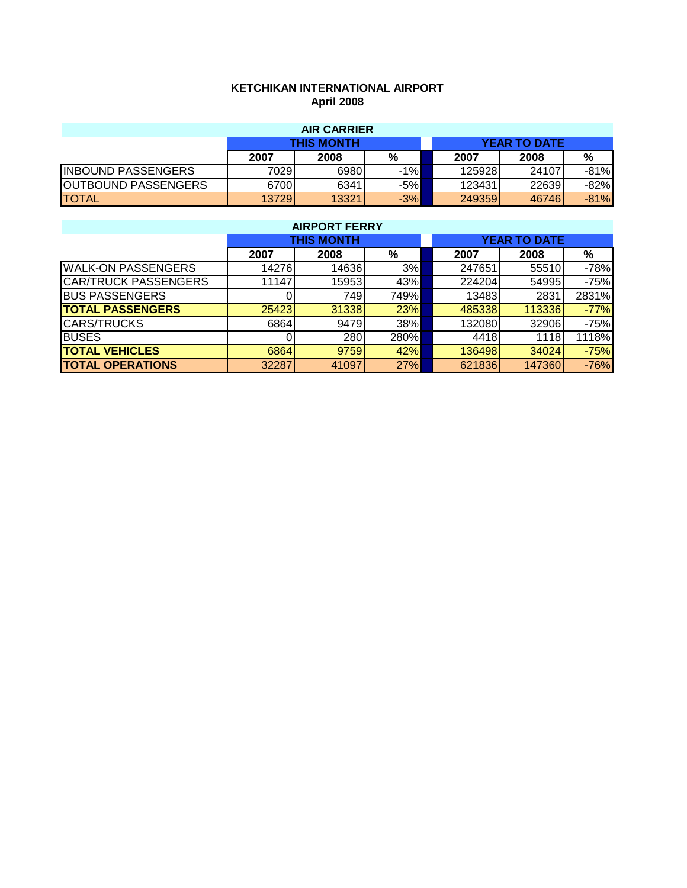## **KETCHIKAN INTERNATIONAL AIRPORT April 2008**

| <b>AIR CARRIER</b>         |        |                   |       |  |        |                     |        |  |  |
|----------------------------|--------|-------------------|-------|--|--------|---------------------|--------|--|--|
|                            |        | <b>THIS MONTH</b> |       |  |        | <b>YEAR TO DATE</b> |        |  |  |
|                            | 2007   | 2008              | %     |  | 2007   | 2008                | %      |  |  |
| <b>INBOUND PASSENGERS</b>  | 7029   | 6980              | $-1%$ |  | 125928 | 24107               | $-81%$ |  |  |
| <b>OUTBOUND PASSENGERS</b> | 6700   | 6341              | $-5%$ |  | 123431 | 22639               | $-82%$ |  |  |
| <b>TOTAL</b>               | 137291 | 13321             | $-3%$ |  | 249359 | 46746               | $-81%$ |  |  |

| <b>AIRPORT FERRY</b>        |       |                   |      |  |                     |        |        |  |  |
|-----------------------------|-------|-------------------|------|--|---------------------|--------|--------|--|--|
|                             |       | <b>THIS MONTH</b> |      |  | <b>YEAR TO DATE</b> |        |        |  |  |
|                             | 2007  | 2008              | %    |  | 2007                | 2008   | %      |  |  |
| <b>WALK-ON PASSENGERS</b>   | 14276 | 14636             | 3%   |  | 247651              | 55510  | $-78%$ |  |  |
| <b>CAR/TRUCK PASSENGERS</b> | 11147 | 15953             | 43%  |  | 224204              | 54995  | $-75%$ |  |  |
| <b>BUS PASSENGERS</b>       |       | 749               | 749% |  | 13483               | 2831   | 2831%  |  |  |
| <b>TOTAL PASSENGERS</b>     | 25423 | 31338             | 23%  |  | 485338              | 113336 | $-77%$ |  |  |
| <b>CARS/TRUCKS</b>          | 6864  | 9479              | 38%  |  | 132080              | 32906  | $-75%$ |  |  |
| <b>BUSES</b>                |       | 280               | 280% |  | 4418                | 1118   | 1118%  |  |  |
| <b>TOTAL VEHICLES</b>       | 6864  | 9759              | 42%  |  | 136498              | 34024  | $-75%$ |  |  |
| <b>TOTAL OPERATIONS</b>     | 32287 | 41097             | 27%  |  | 621836              | 147360 | $-76%$ |  |  |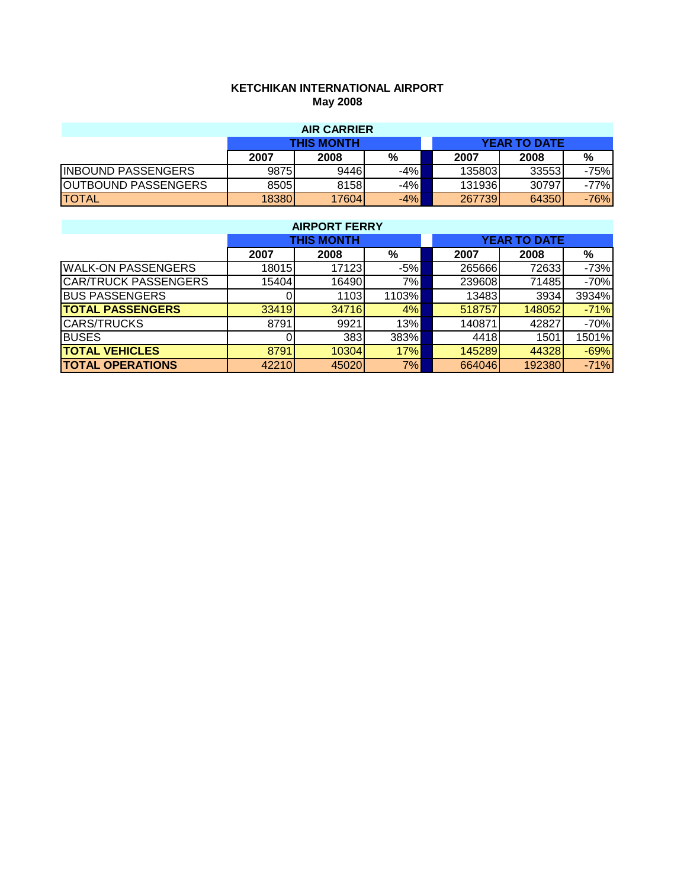## **KETCHIKAN INTERNATIONAL AIRPORT May 2008**

| <b>AIR CARRIER</b>         |       |       |       |  |        |                     |        |  |  |
|----------------------------|-------|-------|-------|--|--------|---------------------|--------|--|--|
| <b>THIS MONTH</b>          |       |       |       |  |        | <b>YEAR TO DATE</b> |        |  |  |
|                            | 2007  | 2008  | %     |  | 2007   | 2008                | %      |  |  |
| <b>INBOUND PASSENGERS</b>  | 9875  | 9446  | $-4%$ |  | 135803 | 335531              | -75%   |  |  |
| <b>OUTBOUND PASSENGERS</b> | 8505  | 8158  | $-4%$ |  | 131936 | 30797               | $-77%$ |  |  |
| <b>TOTAL</b>               | 18380 | 17604 | $-4%$ |  | 267739 | 64350               | $-76%$ |  |  |

| <b>AIRPORT FERRY</b>        |       |                   |       |  |                     |        |        |  |  |
|-----------------------------|-------|-------------------|-------|--|---------------------|--------|--------|--|--|
|                             |       | <b>THIS MONTH</b> |       |  | <b>YEAR TO DATE</b> |        |        |  |  |
|                             | 2007  | 2008              | %     |  | 2007                | 2008   | %      |  |  |
| <b>WALK-ON PASSENGERS</b>   | 18015 | 17123             | $-5%$ |  | 265666              | 72633  | $-73%$ |  |  |
| <b>CAR/TRUCK PASSENGERS</b> | 15404 | 16490             | 7%    |  | 239608              | 71485  | $-70%$ |  |  |
| <b>BUS PASSENGERS</b>       |       | 1103              | 1103% |  | 13483               | 3934   | 3934%  |  |  |
| <b>TOTAL PASSENGERS</b>     | 33419 | 34716             | 4%    |  | 518757              | 148052 | $-71%$ |  |  |
| <b>CARS/TRUCKS</b>          | 8791  | 9921              | 13%   |  | 140871              | 42827  | $-70%$ |  |  |
| <b>BUSES</b>                |       | 383               | 383%  |  | 4418                | 1501   | 1501%  |  |  |
| <b>TOTAL VEHICLES</b>       | 8791  | 10304             | 17%   |  | 145289              | 44328  | $-69%$ |  |  |
| <b>TOTAL OPERATIONS</b>     | 42210 | 45020             | 7%    |  | 664046              | 192380 | $-71%$ |  |  |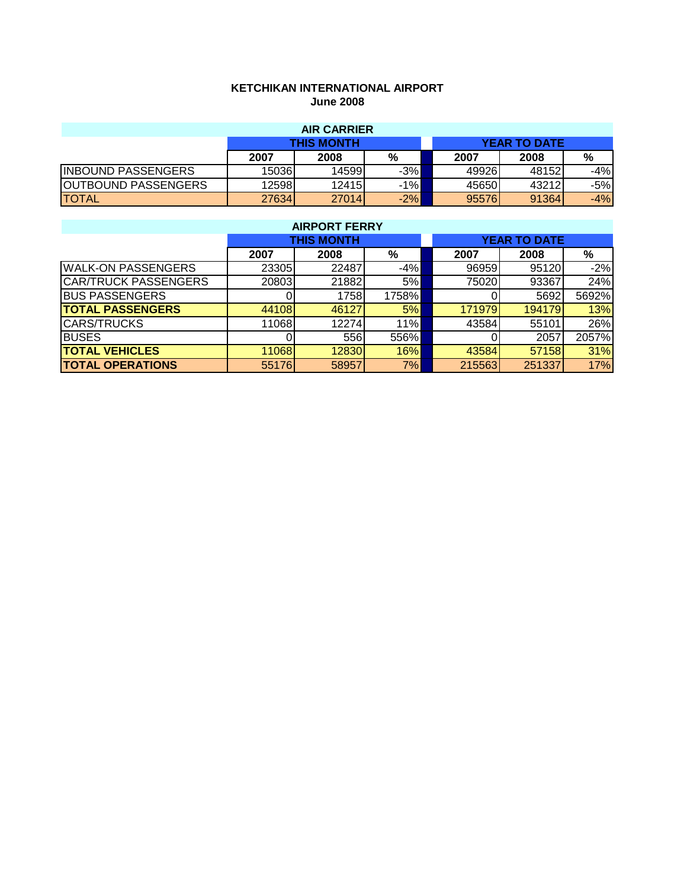## **KETCHIKAN INTERNATIONAL AIRPORT June 2008**

| <b>AIR CARRIER</b>         |                   |        |       |  |       |                     |       |  |  |
|----------------------------|-------------------|--------|-------|--|-------|---------------------|-------|--|--|
|                            | <b>THIS MONTH</b> |        |       |  |       | <b>YEAR TO DATE</b> |       |  |  |
|                            | 2007              | 2008   | %     |  | 2007  | 2008                | %     |  |  |
| <b>INBOUND PASSENGERS</b>  | 150361            | 145991 | $-3%$ |  | 49926 | 48152               | -4%   |  |  |
| <b>OUTBOUND PASSENGERS</b> | 12598             | 12415  | $-1%$ |  | 45650 | 432121              | $-5%$ |  |  |
| <b>TOTAL</b>               | 27634             | 27014  | $-2%$ |  | 95576 | 91364               | -4%   |  |  |

| <b>AIRPORT FERRY</b>        |       |                   |       |  |                     |        |       |  |  |  |
|-----------------------------|-------|-------------------|-------|--|---------------------|--------|-------|--|--|--|
|                             |       | <b>THIS MONTH</b> |       |  | <b>YEAR TO DATE</b> |        |       |  |  |  |
|                             | 2007  | 2008              | %     |  | 2007                | 2008   | %     |  |  |  |
| <b>WALK-ON PASSENGERS</b>   | 23305 | 22487             | $-4%$ |  | 96959               | 95120  | $-2%$ |  |  |  |
| <b>CAR/TRUCK PASSENGERS</b> | 20803 | 21882             | 5%    |  | 75020               | 93367  | 24%   |  |  |  |
| <b>BUS PASSENGERS</b>       |       | 1758              | 1758% |  |                     | 5692   | 5692% |  |  |  |
| <b>TOTAL PASSENGERS</b>     | 44108 | 46127             | 5%    |  | 171979              | 194179 | 13%   |  |  |  |
| <b>CARS/TRUCKS</b>          | 11068 | 12274             | 11%   |  | 43584               | 55101  | 26%   |  |  |  |
| <b>BUSES</b>                |       | 556               | 556%  |  |                     | 2057   | 2057% |  |  |  |
| <b>TOTAL VEHICLES</b>       | 11068 | 12830             | 16%   |  | 43584               | 57158  | 31%   |  |  |  |
| <b>TOTAL OPERATIONS</b>     | 55176 | 58957             | 7%    |  | 215563              | 251337 | 17%   |  |  |  |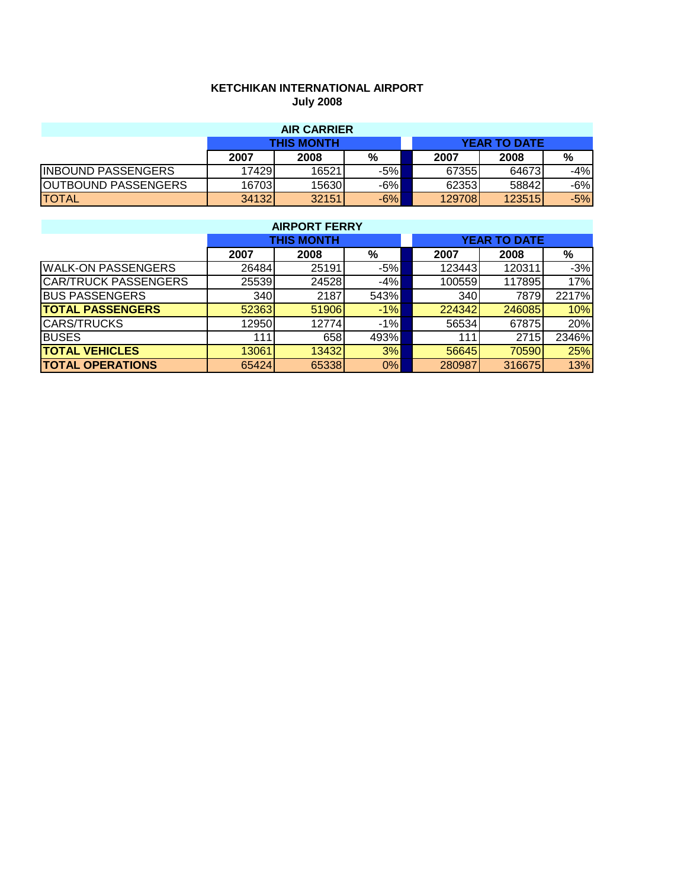# **KETCHIKAN INTERNATIONAL AIRPORT July 2008**

| <b>AIR CARRIER</b>         |        |       |       |  |        |                     |       |  |
|----------------------------|--------|-------|-------|--|--------|---------------------|-------|--|
| <b>THIS MONTH</b>          |        |       |       |  |        | <b>YEAR TO DATE</b> |       |  |
|                            | 2007   | 2008  | %     |  | 2007   | 2008                | %     |  |
| <b>INBOUND PASSENGERS</b>  | 174291 | 16521 | $-5%$ |  | 673551 | 64673               | -4%   |  |
| <b>OUTBOUND PASSENGERS</b> | 167031 | 15630 | $-6%$ |  | 62353  | 58842               | -6%   |  |
| <b>TOTAL</b>               | 34132  | 32151 | $-6%$ |  | 129708 | 123515              | $-5%$ |  |

| <b>AIRPORT FERRY</b>        |       |                   |       |  |                     |        |       |  |  |
|-----------------------------|-------|-------------------|-------|--|---------------------|--------|-------|--|--|
|                             |       | <b>THIS MONTH</b> |       |  | <b>YEAR TO DATE</b> |        |       |  |  |
|                             | 2007  | 2008              | %     |  | 2007                | 2008   | %     |  |  |
| <b>WALK-ON PASSENGERS</b>   | 26484 | 25191             | $-5%$ |  | 123443              | 120311 | $-3%$ |  |  |
| <b>CAR/TRUCK PASSENGERS</b> | 25539 | 24528             | $-4%$ |  | 100559              | 117895 | 17%   |  |  |
| <b>BUS PASSENGERS</b>       | 340   | 2187              | 543%  |  | 340                 | 7879   | 2217% |  |  |
| <b>TOTAL PASSENGERS</b>     | 52363 | 51906             | $-1%$ |  | 224342              | 246085 | 10%   |  |  |
| <b>CARS/TRUCKS</b>          | 12950 | 12774             | $-1%$ |  | 56534               | 67875  | 20%   |  |  |
| <b>BUSES</b>                | 111   | 658               | 493%  |  | 111                 | 2715   | 2346% |  |  |
| <b>TOTAL VEHICLES</b>       | 13061 | 13432             | 3%    |  | 56645               | 70590  | 25%   |  |  |
| <b>TOTAL OPERATIONS</b>     | 65424 | 65338             | 0%    |  | 280987              | 316675 | 13%   |  |  |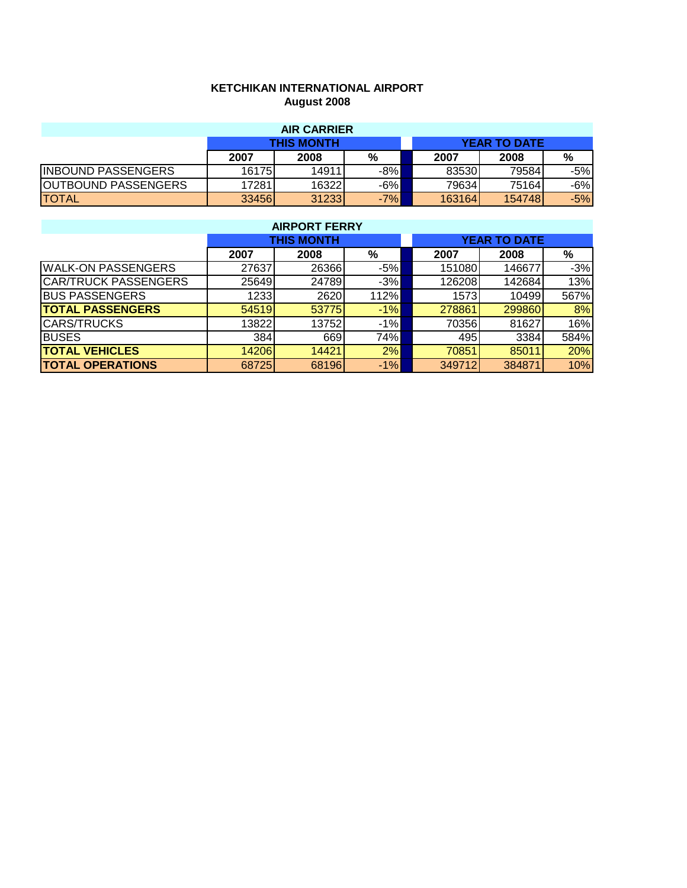## **KETCHIKAN INTERNATIONAL AIRPORT August 2008**

| <b>AIR CARRIER</b>         |        |        |       |  |        |                     |       |  |  |
|----------------------------|--------|--------|-------|--|--------|---------------------|-------|--|--|
| <b>THIS MONTH</b>          |        |        |       |  |        | <b>YEAR TO DATE</b> |       |  |  |
|                            | 2007   | 2008   | %     |  | 2007   | 2008                | %     |  |  |
| <b>INBOUND PASSENGERS</b>  | 161751 | 14911  | -8%   |  | 83530  | 79584               | -5%l  |  |  |
| <b>OUTBOUND PASSENGERS</b> | 17281  | 163221 | $-6%$ |  | 79634  | 75164               | -6%l  |  |  |
| <b>TOTAL</b>               | 33456  | 31233  | $-7%$ |  | 163164 | 154748              | $-5%$ |  |  |

| <b>AIRPORT FERRY</b>        |       |                   |       |  |        |                     |       |  |  |
|-----------------------------|-------|-------------------|-------|--|--------|---------------------|-------|--|--|
|                             |       | <b>THIS MONTH</b> |       |  |        | <b>YEAR TO DATE</b> |       |  |  |
|                             | 2007  | 2008              | %     |  | 2007   | 2008                | %     |  |  |
| <b>WALK-ON PASSENGERS</b>   | 27637 | 26366             | $-5%$ |  | 151080 | 146677              | $-3%$ |  |  |
| <b>CAR/TRUCK PASSENGERS</b> | 25649 | 24789             | $-3%$ |  | 126208 | 142684              | 13%   |  |  |
| <b>BUS PASSENGERS</b>       | 1233  | 2620              | 112%  |  | 1573   | 10499               | 567%  |  |  |
| <b>TOTAL PASSENGERS</b>     | 54519 | 53775             | $-1%$ |  | 278861 | 299860              | 8%    |  |  |
| <b>CARS/TRUCKS</b>          | 13822 | 13752             | $-1%$ |  | 70356  | 81627               | 16%   |  |  |
| <b>BUSES</b>                | 384   | 669               | 74%   |  | 495    | 3384                | 584%  |  |  |
| <b>TOTAL VEHICLES</b>       | 14206 | 14421             | 2%    |  | 70851  | 85011               | 20%   |  |  |
| <b>TOTAL OPERATIONS</b>     | 68725 | 68196             | $-1%$ |  | 349712 | 384871              | 10%   |  |  |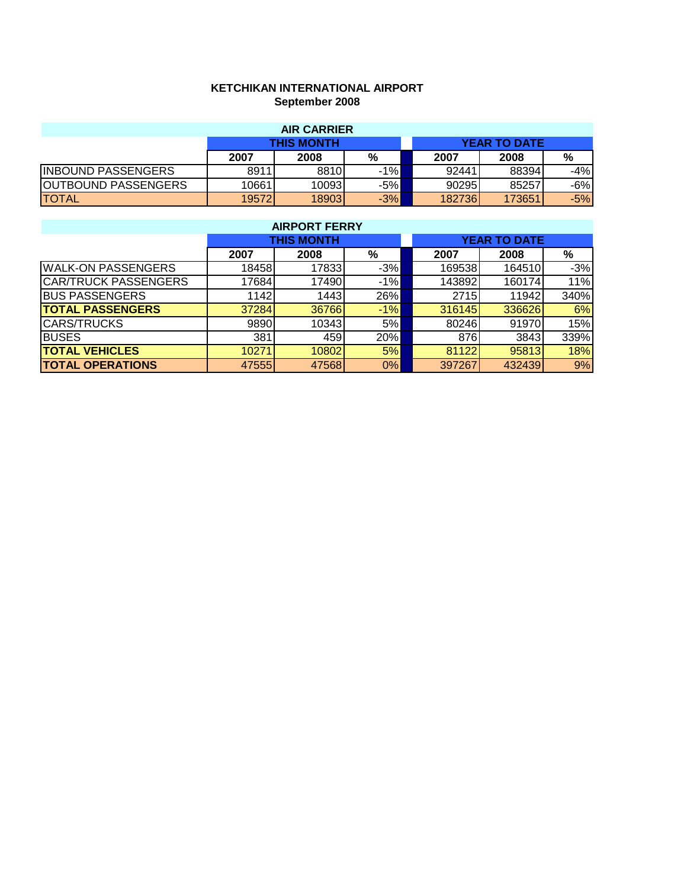## **KETCHIKAN INTERNATIONAL AIRPORT September 2008**

| <b>AIR CARRIER</b>        |       |        |       |  |        |                     |       |  |  |
|---------------------------|-------|--------|-------|--|--------|---------------------|-------|--|--|
| <b>THIS MONTH</b>         |       |        |       |  |        | <b>YEAR TO DATE</b> |       |  |  |
|                           | 2007  | 2008   | %     |  | 2007   | 2008                | %     |  |  |
| <b>INBOUND PASSENGERS</b> | 8911  | 8810   | -1%   |  | 92441  | 88394               | $-4%$ |  |  |
| OUTBOUND PASSENGERS       | 10661 | 100931 | -5%   |  | 90295  | 85257               | -6%l  |  |  |
| <b>TOTAL</b>              | 19572 | 18903  | $-3%$ |  | 182736 | 173651              | $-5%$ |  |  |

| <b>AIRPORT FERRY</b>        |        |                   |       |  |                     |        |       |  |  |
|-----------------------------|--------|-------------------|-------|--|---------------------|--------|-------|--|--|
|                             |        | <b>THIS MONTH</b> |       |  | <b>YEAR TO DATE</b> |        |       |  |  |
|                             | 2007   | 2008              | %     |  | 2007                | 2008   | %     |  |  |
| <b>WALK-ON PASSENGERS</b>   | 184581 | 17833             | $-3%$ |  | 169538              | 164510 | $-3%$ |  |  |
| <b>CAR/TRUCK PASSENGERS</b> | 17684  | 17490             | $-1%$ |  | 143892              | 160174 | 11%   |  |  |
| <b>BUS PASSENGERS</b>       | 1142   | 1443              | 26%   |  | 2715                | 11942  | 340%  |  |  |
| <b>TOTAL PASSENGERS</b>     | 37284  | 36766             | $-1%$ |  | 316145              | 336626 | 6%    |  |  |
| <b>CARS/TRUCKS</b>          | 9890   | 10343             | 5%    |  | 80246               | 91970  | 15%   |  |  |
| <b>BUSES</b>                | 381    | 459               | 20%   |  | 876                 | 3843   | 339%  |  |  |
| <b>TOTAL VEHICLES</b>       | 10271  | 10802             | 5%    |  | 81122               | 95813  | 18%   |  |  |
| <b>TOTAL OPERATIONS</b>     | 47555  | 47568             | 0%    |  | 397267              | 432439 | 9%    |  |  |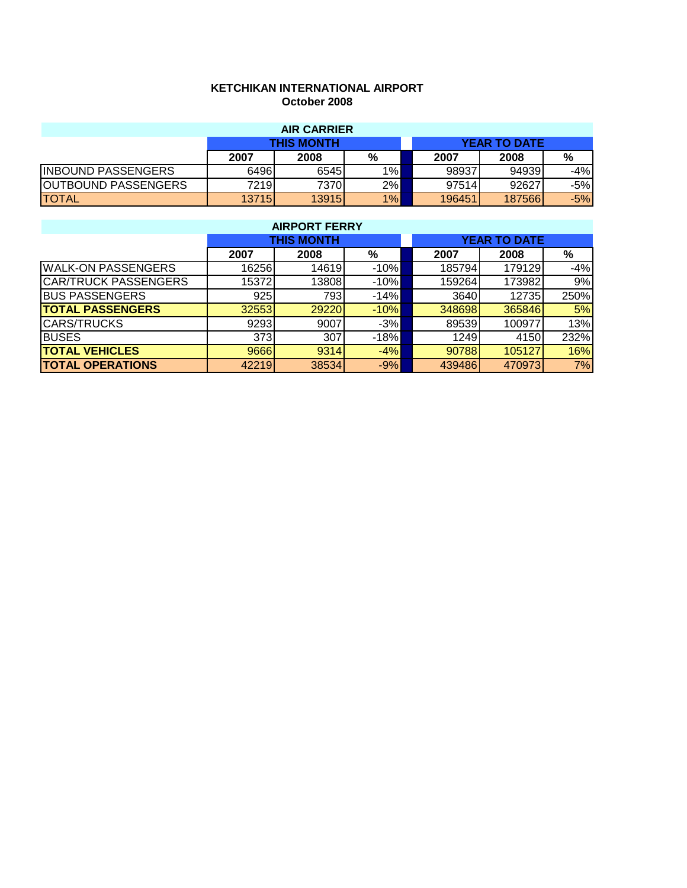## **KETCHIKAN INTERNATIONAL AIRPORT October 2008**

| <b>AIR CARRIER</b>         |       |        |    |  |        |                     |       |  |  |
|----------------------------|-------|--------|----|--|--------|---------------------|-------|--|--|
| <b>THIS MONTH</b>          |       |        |    |  |        | <b>YEAR TO DATE</b> |       |  |  |
|                            | 2007  | 2008   | %  |  | 2007   | 2008                | %     |  |  |
| <b>INBOUND PASSENGERS</b>  | 6496  | 6545   | 1% |  | 98937  | 94939               | -4%   |  |  |
| <b>OUTBOUND PASSENGERS</b> | 7219  | 7370 I | 2% |  | 97514  | 92627               | -5%l  |  |  |
| <b>TOTAL</b>               | 13715 | 13915  | 1% |  | 196451 | 187566              | $-5%$ |  |  |

| <b>AIRPORT FERRY</b>        |        |                   |        |  |                     |        |       |  |  |
|-----------------------------|--------|-------------------|--------|--|---------------------|--------|-------|--|--|
|                             |        | <b>THIS MONTH</b> |        |  | <b>YEAR TO DATE</b> |        |       |  |  |
|                             | 2007   | 2008              | %      |  | 2007                | 2008   | %     |  |  |
| <b>WALK-ON PASSENGERS</b>   | 162561 | 14619             | $-10%$ |  | 185794              | 179129 | $-4%$ |  |  |
| <b>CAR/TRUCK PASSENGERS</b> | 15372  | 13808             | $-10%$ |  | 159264              | 173982 | 9%    |  |  |
| <b>BUS PASSENGERS</b>       | 925    | 793               | $-14%$ |  | 3640                | 12735  | 250%  |  |  |
| <b>TOTAL PASSENGERS</b>     | 32553  | 29220             | $-10%$ |  | 348698              | 365846 | 5%    |  |  |
| <b>CARS/TRUCKS</b>          | 9293   | 9007              | $-3%$  |  | 89539               | 100977 | 13%   |  |  |
| <b>BUSES</b>                | 373    | 307               | $-18%$ |  | 1249                | 4150   | 232%  |  |  |
| <b>TOTAL VEHICLES</b>       | 9666   | 9314              | $-4%$  |  | 90788               | 105127 | 16%   |  |  |
| <b>TOTAL OPERATIONS</b>     | 42219  | 38534             | $-9%$  |  | 439486              | 470973 | 7%    |  |  |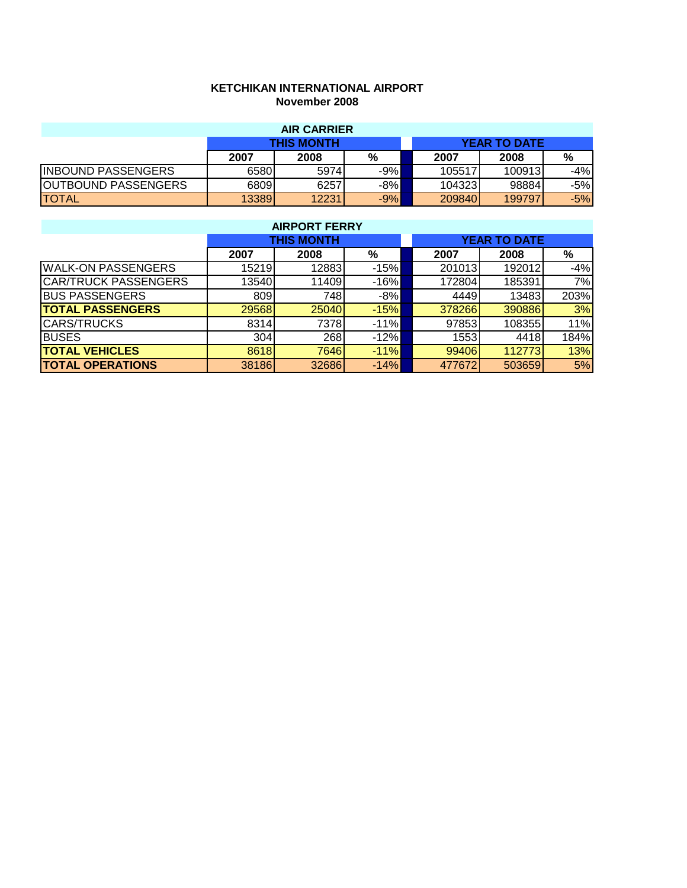## **KETCHIKAN INTERNATIONAL AIRPORT November 2008**

| <b>AIR CARRIER</b>         |       |       |       |  |                     |        |       |  |
|----------------------------|-------|-------|-------|--|---------------------|--------|-------|--|
| <b>THIS MONTH</b>          |       |       |       |  | <b>YEAR TO DATE</b> |        |       |  |
|                            | 2007  | 2008  | %     |  | 2007                | 2008   | %     |  |
| <b>INBOUND PASSENGERS</b>  | 6580  | 5974  | $-9%$ |  | 105517              | 100913 | -4%   |  |
| <b>OUTBOUND PASSENGERS</b> | 6809  | 6257  | $-8%$ |  | 104323              | 98884  | -5%l  |  |
| <b>TOTAL</b>               | 13389 | 12231 | $-9%$ |  | 209840              | 199797 | $-5%$ |  |

| <b>AIRPORT FERRY</b>        |       |                   |        |  |        |                     |       |  |  |
|-----------------------------|-------|-------------------|--------|--|--------|---------------------|-------|--|--|
|                             |       | <b>THIS MONTH</b> |        |  |        | <b>YEAR TO DATE</b> |       |  |  |
|                             | 2007  | 2008              | %      |  | 2007   | 2008                | %     |  |  |
| <b>WALK-ON PASSENGERS</b>   | 15219 | 12883             | $-15%$ |  | 201013 | 192012              | $-4%$ |  |  |
| <b>CAR/TRUCK PASSENGERS</b> | 13540 | 11409             | $-16%$ |  | 172804 | 185391              | 7%    |  |  |
| <b>BUS PASSENGERS</b>       | 809   | 748               | $-8%$  |  | 4449   | 13483               | 203%  |  |  |
| <b>TOTAL PASSENGERS</b>     | 29568 | 25040             | $-15%$ |  | 378266 | 390886              | 3%    |  |  |
| <b>CARS/TRUCKS</b>          | 8314  | 7378              | $-11%$ |  | 97853  | 108355              | 11%   |  |  |
| <b>BUSES</b>                | 304   | 268               | $-12%$ |  | 1553   | 4418                | 184%  |  |  |
| <b>TOTAL VEHICLES</b>       | 8618  | 7646              | $-11%$ |  | 99406  | 112773              | 13%   |  |  |
| <b>TOTAL OPERATIONS</b>     | 38186 | 32686             | $-14%$ |  | 477672 | 503659              | 5%    |  |  |